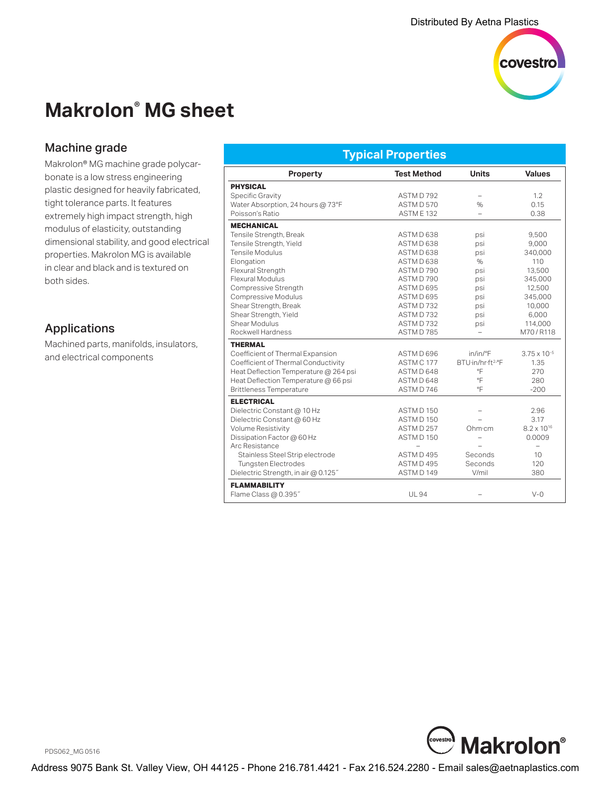

# **Makrolon® MG sheet**

## Machine grade

Makrolon® MG machine grade polycarbonate is a low stress engineering plastic designed for heavily fabricated, tight tolerance parts. It features extremely high impact strength, high modulus of elasticity, outstanding dimensional stability, and good electrical properties. Makrolon MG is available in clear and black and is textured on both sides.

## Applications

Machined parts, manifolds, insulators, and electrical components

| <b>Typical Properties</b>             |                      |                               |                          |  |
|---------------------------------------|----------------------|-------------------------------|--------------------------|--|
| <b>Property</b>                       | <b>Test Method</b>   | <b>Units</b>                  | <b>Values</b>            |  |
| <b>PHYSICAL</b>                       |                      |                               |                          |  |
| Specific Gravity                      | ASTMD792             |                               | 1.2                      |  |
| Water Absorption, 24 hours @ 73°F     | ASTM D 570           | $\frac{0}{0}$                 | 0.15                     |  |
| Poisson's Ratio                       | ASTME <sub>132</sub> | $\overline{a}$                | 0.38                     |  |
| <b>MECHANICAL</b>                     |                      |                               |                          |  |
| Tensile Strength, Break               | ASTMD 638            | psi                           | 9,500                    |  |
| Tensile Strength, Yield               | ASTMD 638            | psi                           | 9,000                    |  |
| Tensile Modulus                       | ASTMD 638            | psi                           | 340,000                  |  |
| Elongation                            | ASTMD 638            | $\%$                          | 110                      |  |
| Flexural Strength                     | ASTMD790             | psi                           | 13,500                   |  |
| <b>Flexural Modulus</b>               | ASTMD 790            | psi                           | 345,000                  |  |
| Compressive Strength                  | ASTMD 695            | psi                           | 12,500                   |  |
| Compressive Modulus                   | ASTMD 695            | psi                           | 345.000                  |  |
| Shear Strength, Break                 | ASTMD732             | psi                           | 10,000                   |  |
| Shear Strength, Yield                 | ASTMD732             | psi                           | 6,000                    |  |
| Shear Modulus                         | ASTMD732             | psi                           | 114,000                  |  |
| Rockwell Hardness                     | ASTMD785             | $\equiv$                      | M70/R118                 |  |
| <b>THERMAL</b>                        |                      |                               |                          |  |
| Coefficient of Thermal Expansion      | ASTMD 696            | in/in/°F                      | $3.75 \times 10^{-5}$    |  |
| Coefficient of Thermal Conductivity   | ASTM C 177           | BTU·in/hr·ft <sup>2.</sup> °F | 1.35                     |  |
| Heat Deflection Temperature @ 264 psi | ASTMD 648            | °F                            | 270                      |  |
| Heat Deflection Temperature @ 66 psi  | ASTMD 648            | °F                            | 280                      |  |
| <b>Brittleness Temperature</b>        | ASTMD746             | °F                            | $-200$                   |  |
| <b>ELECTRICAL</b>                     |                      |                               |                          |  |
| Dielectric Constant @ 10 Hz           | ASTMD 150            |                               | 2.96                     |  |
| Dielectric Constant @ 60 Hz           | ASTMD 150            |                               | 3.17                     |  |
| Volume Resistivity                    | ASTMD 257            | Ohm·cm                        | $8.2 \times 10^{16}$     |  |
| Dissipation Factor @ 60 Hz            | ASTMD 150            | $\overline{\phantom{0}}$      | 0.0009                   |  |
| Arc Resistance                        |                      |                               | $\overline{\phantom{0}}$ |  |
| Stainless Steel Strip electrode       | ASTMD495             | Seconds                       | 10                       |  |
| <b>Tungsten Electrodes</b>            | ASTMD495             | Seconds                       | 120                      |  |
| Dielectric Strength, in air @ 0.125"  | ASTMD 149            | V/mil                         | 380                      |  |
| <b>FLAMMABILITY</b>                   |                      |                               |                          |  |
| Flame Class @ 0.395"                  | <b>UL94</b>          |                               | $V - Q$                  |  |